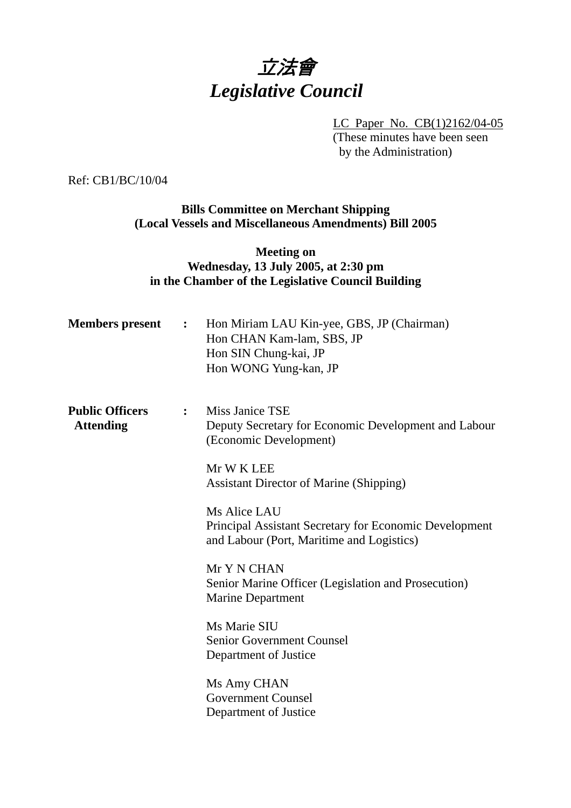# 立法會 *Legislative Council*

LC Paper No. CB(1)2162/04-05 (These minutes have been seen by the Administration)

Ref: CB1/BC/10/04

### **Bills Committee on Merchant Shipping (Local Vessels and Miscellaneous Amendments) Bill 2005**

### **Meeting on Wednesday, 13 July 2005, at 2:30 pm in the Chamber of the Legislative Council Building**

| <b>Members</b> present                     | $\mathbf{L}$ . The set of $\mathbf{L}$ | Hon Miriam LAU Kin-yee, GBS, JP (Chairman)<br>Hon CHAN Kam-lam, SBS, JP<br>Hon SIN Chung-kai, JP<br>Hon WONG Yung-kan, JP  |
|--------------------------------------------|----------------------------------------|----------------------------------------------------------------------------------------------------------------------------|
| <b>Public Officers</b><br><b>Attending</b> | $\ddot{\bullet}$                       | Miss Janice TSE<br>Deputy Secretary for Economic Development and Labour<br>(Economic Development)                          |
|                                            |                                        | Mr W K LEE<br><b>Assistant Director of Marine (Shipping)</b>                                                               |
|                                            |                                        | Ms Alice LAU<br><b>Principal Assistant Secretary for Economic Development</b><br>and Labour (Port, Maritime and Logistics) |
|                                            |                                        | Mr Y N CHAN<br>Senior Marine Officer (Legislation and Prosecution)<br><b>Marine Department</b>                             |
|                                            |                                        | Ms Marie SIU<br><b>Senior Government Counsel</b><br>Department of Justice                                                  |
|                                            |                                        | Ms Amy CHAN<br><b>Government Counsel</b><br>Department of Justice                                                          |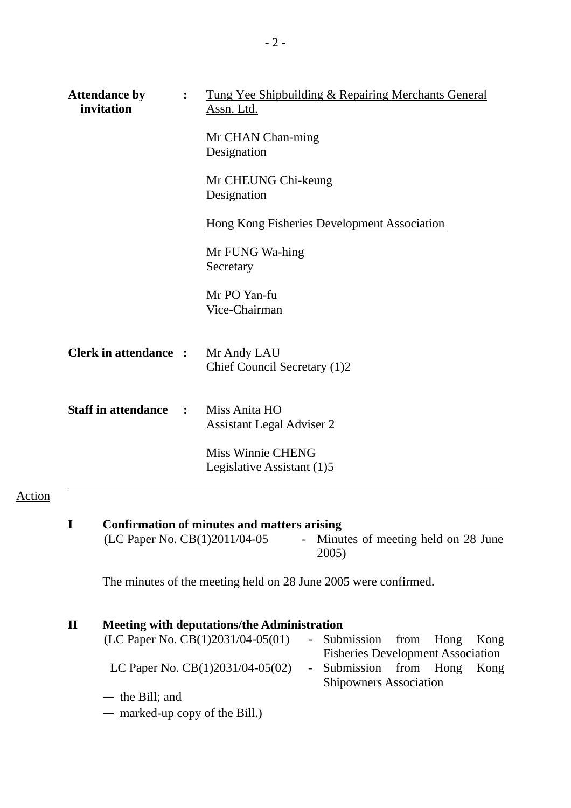| <b>Attendance by</b><br>invitation |                | Tung Yee Shipbuilding & Repairing Merchants General<br>Assn. Ltd. |
|------------------------------------|----------------|-------------------------------------------------------------------|
|                                    |                | Mr CHAN Chan-ming<br>Designation                                  |
|                                    |                | Mr CHEUNG Chi-keung<br>Designation                                |
|                                    |                | <b>Hong Kong Fisheries Development Association</b>                |
|                                    |                | Mr FUNG Wa-hing<br>Secretary                                      |
|                                    |                | Mr PO Yan-fu<br>Vice-Chairman                                     |
| <b>Clerk in attendance:</b>        |                | Mr Andy LAU<br>Chief Council Secretary (1)2                       |
| <b>Staff in attendance</b>         | $\ddot{\cdot}$ | Miss Anita HO<br><b>Assistant Legal Adviser 2</b>                 |
|                                    |                | <b>Miss Winnie CHENG</b><br>Legislative Assistant (1)5            |
|                                    |                |                                                                   |

**I** Confirmation of minutes and matters arising (LC Paper No. CB(1)2011/04-05 - Minu - Minutes of meeting held on 28 June 2005)

The minutes of the meeting held on 28 June 2005 were confirmed.

Action

| П | <b>Meeting with deputations/the Administration</b> |                                          |  |      |
|---|----------------------------------------------------|------------------------------------------|--|------|
|   | (LC Paper No. CB(1)2031/04-05(01)                  | - Submission from Hong Kong              |  |      |
|   |                                                    | <b>Fisheries Development Association</b> |  |      |
|   | LC Paper No. $CB(1)2031/04-05(02)$                 | - Submission from Hong                   |  | Kong |
|   |                                                    | <b>Shipowners Association</b>            |  |      |
|   | $-$ the Bill; and                                  |                                          |  |      |
|   | $-$ marked-up copy of the Bill.)                   |                                          |  |      |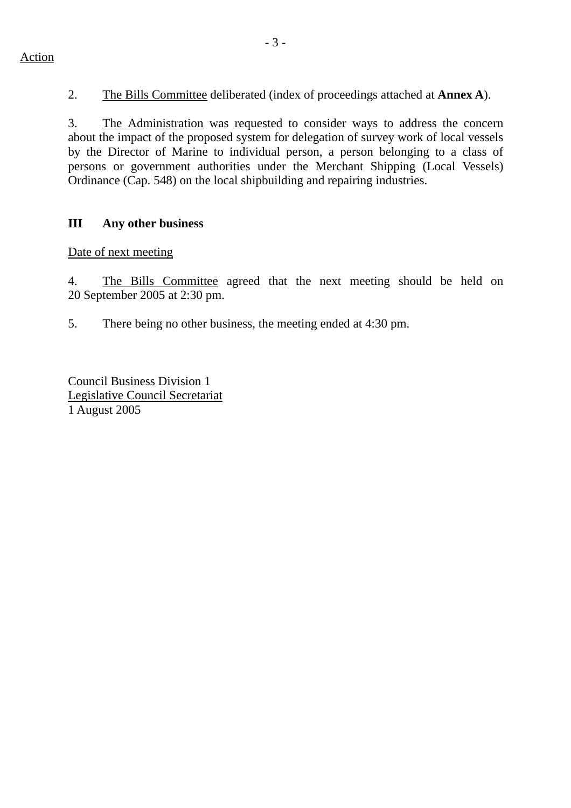2. The Bills Committee deliberated (index of proceedings attached at **Annex A**).

3. The Administration was requested to consider ways to address the concern about the impact of the proposed system for delegation of survey work of local vessels by the Director of Marine to individual person, a person belonging to a class of persons or government authorities under the Merchant Shipping (Local Vessels) Ordinance (Cap. 548) on the local shipbuilding and repairing industries.

## **III Any other business**

Date of next meeting

4. The Bills Committee agreed that the next meeting should be held on 20 September 2005 at 2:30 pm.

5. There being no other business, the meeting ended at 4:30 pm.

Council Business Division 1 Legislative Council Secretariat 1 August 2005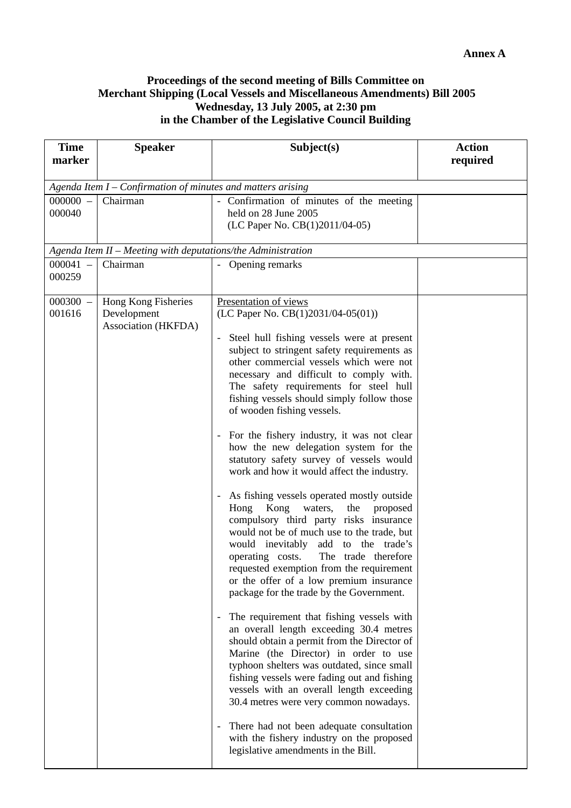#### **Proceedings of the second meeting of Bills Committee on Merchant Shipping (Local Vessels and Miscellaneous Amendments) Bill 2005 Wednesday, 13 July 2005, at 2:30 pm in the Chamber of the Legislative Council Building**

| <b>Time</b><br>marker | <b>Speaker</b>                                               | Subject(s)                                                                                                                                                                                                                                                                                                                                                                                                                                                                                                                                                                                                                                                                                                                                                                                                                                                                                                                                                                                                                                                                                                                                                                                                                                                                                                                                                                                                                                                  | <b>Action</b><br>required |  |  |  |
|-----------------------|--------------------------------------------------------------|-------------------------------------------------------------------------------------------------------------------------------------------------------------------------------------------------------------------------------------------------------------------------------------------------------------------------------------------------------------------------------------------------------------------------------------------------------------------------------------------------------------------------------------------------------------------------------------------------------------------------------------------------------------------------------------------------------------------------------------------------------------------------------------------------------------------------------------------------------------------------------------------------------------------------------------------------------------------------------------------------------------------------------------------------------------------------------------------------------------------------------------------------------------------------------------------------------------------------------------------------------------------------------------------------------------------------------------------------------------------------------------------------------------------------------------------------------------|---------------------------|--|--|--|
|                       | Agenda Item I – Confirmation of minutes and matters arising  |                                                                                                                                                                                                                                                                                                                                                                                                                                                                                                                                                                                                                                                                                                                                                                                                                                                                                                                                                                                                                                                                                                                                                                                                                                                                                                                                                                                                                                                             |                           |  |  |  |
| $000000 -$<br>000040  | Chairman                                                     | - Confirmation of minutes of the meeting<br>held on 28 June 2005<br>(LC Paper No. CB(1)2011/04-05)                                                                                                                                                                                                                                                                                                                                                                                                                                                                                                                                                                                                                                                                                                                                                                                                                                                                                                                                                                                                                                                                                                                                                                                                                                                                                                                                                          |                           |  |  |  |
|                       | Agenda Item II - Meeting with deputations/the Administration |                                                                                                                                                                                                                                                                                                                                                                                                                                                                                                                                                                                                                                                                                                                                                                                                                                                                                                                                                                                                                                                                                                                                                                                                                                                                                                                                                                                                                                                             |                           |  |  |  |
| 000041<br>000259      | Chairman                                                     | Opening remarks                                                                                                                                                                                                                                                                                                                                                                                                                                                                                                                                                                                                                                                                                                                                                                                                                                                                                                                                                                                                                                                                                                                                                                                                                                                                                                                                                                                                                                             |                           |  |  |  |
| $000300 -$<br>001616  | Hong Kong Fisheries<br>Development<br>Association (HKFDA)    | Presentation of views<br>(LC Paper No. CB(1)2031/04-05(01))<br>Steel hull fishing vessels were at present<br>subject to stringent safety requirements as<br>other commercial vessels which were not<br>necessary and difficult to comply with.<br>The safety requirements for steel hull<br>fishing vessels should simply follow those<br>of wooden fishing vessels.<br>For the fishery industry, it was not clear<br>how the new delegation system for the<br>statutory safety survey of vessels would<br>work and how it would affect the industry.<br>As fishing vessels operated mostly outside<br>Kong waters,<br>the proposed<br>Hong<br>compulsory third party risks insurance<br>would not be of much use to the trade, but<br>would inevitably add to the trade's<br>operating costs.<br>The trade therefore<br>requested exemption from the requirement<br>or the offer of a low premium insurance<br>package for the trade by the Government.<br>The requirement that fishing vessels with<br>an overall length exceeding 30.4 metres<br>should obtain a permit from the Director of<br>Marine (the Director) in order to use<br>typhoon shelters was outdated, since small<br>fishing vessels were fading out and fishing<br>vessels with an overall length exceeding<br>30.4 metres were very common nowadays.<br>There had not been adequate consultation<br>with the fishery industry on the proposed<br>legislative amendments in the Bill. |                           |  |  |  |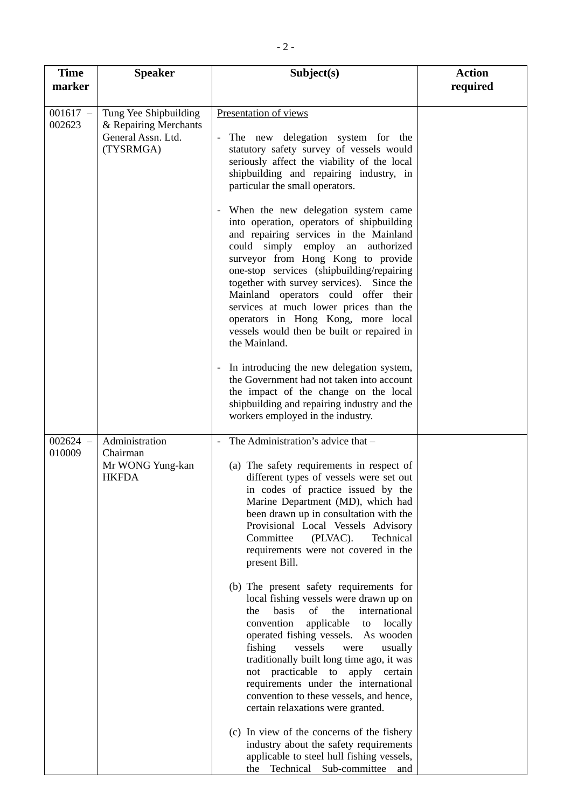| <b>Time</b><br>marker | <b>Speaker</b>                                                                    | Subject(s)                                                                                                                                                                                                                                                                                                                                                                                                                                                                             | <b>Action</b><br>required |
|-----------------------|-----------------------------------------------------------------------------------|----------------------------------------------------------------------------------------------------------------------------------------------------------------------------------------------------------------------------------------------------------------------------------------------------------------------------------------------------------------------------------------------------------------------------------------------------------------------------------------|---------------------------|
| $001617 -$<br>002623  | Tung Yee Shipbuilding<br>& Repairing Merchants<br>General Assn. Ltd.<br>(TYSRMGA) | Presentation of views<br>The new delegation system for the<br>statutory safety survey of vessels would<br>seriously affect the viability of the local<br>shipbuilding and repairing industry, in<br>particular the small operators.                                                                                                                                                                                                                                                    |                           |
|                       |                                                                                   | When the new delegation system came<br>into operation, operators of shipbuilding<br>and repairing services in the Mainland<br>could simply employ an authorized<br>surveyor from Hong Kong to provide<br>one-stop services (shipbuilding/repairing<br>together with survey services). Since the<br>Mainland operators could offer their<br>services at much lower prices than the<br>operators in Hong Kong, more local<br>vessels would then be built or repaired in<br>the Mainland. |                           |
|                       |                                                                                   | In introducing the new delegation system,<br>the Government had not taken into account<br>the impact of the change on the local<br>shipbuilding and repairing industry and the<br>workers employed in the industry.                                                                                                                                                                                                                                                                    |                           |
| $002624 -$<br>010009  | Administration<br>Chairman<br>Mr WONG Yung-kan<br><b>HKFDA</b>                    | The Administration's advice that -<br>(a) The safety requirements in respect of<br>different types of vessels were set out<br>in codes of practice issued by the<br>Marine Department (MD), which had<br>been drawn up in consultation with the<br>Provisional Local Vessels Advisory<br>Committee<br>(PLVAC).<br>Technical<br>requirements were not covered in the<br>present Bill.                                                                                                   |                           |
|                       |                                                                                   | (b) The present safety requirements for<br>local fishing vessels were drawn up on<br>basis<br>of<br>the<br>international<br>the<br>convention<br>applicable<br>locally<br>to<br>operated fishing vessels. As wooden<br>fishing<br>vessels<br>usually<br>were<br>traditionally built long time ago, it was<br>not practicable to<br>apply certain<br>requirements under the international<br>convention to these vessels, and hence,<br>certain relaxations were granted.               |                           |
|                       |                                                                                   | (c) In view of the concerns of the fishery<br>industry about the safety requirements<br>applicable to steel hull fishing vessels,<br>Technical Sub-committee<br>the<br>and                                                                                                                                                                                                                                                                                                             |                           |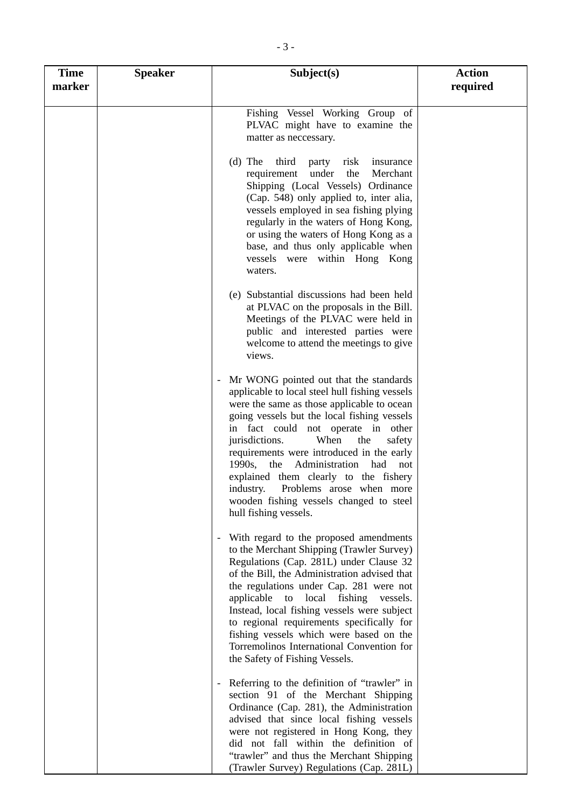| <b>Time</b><br>marker | <b>Speaker</b> | Subject(s)                                                                                                                                                                                                                                                                                                                                                                                                                                                                                                              | <b>Action</b><br>required |
|-----------------------|----------------|-------------------------------------------------------------------------------------------------------------------------------------------------------------------------------------------------------------------------------------------------------------------------------------------------------------------------------------------------------------------------------------------------------------------------------------------------------------------------------------------------------------------------|---------------------------|
|                       |                | Fishing Vessel Working Group of<br>PLVAC might have to examine the<br>matter as neccessary.                                                                                                                                                                                                                                                                                                                                                                                                                             |                           |
|                       |                | $(d)$ The<br>third<br>risk<br>party<br>insurance<br>the<br>requirement<br>under<br>Merchant<br>Shipping (Local Vessels) Ordinance<br>(Cap. 548) only applied to, inter alia,<br>vessels employed in sea fishing plying<br>regularly in the waters of Hong Kong,<br>or using the waters of Hong Kong as a<br>base, and thus only applicable when<br>vessels were within Hong Kong<br>waters.                                                                                                                             |                           |
|                       |                | (e) Substantial discussions had been held<br>at PLVAC on the proposals in the Bill.<br>Meetings of the PLVAC were held in<br>public and interested parties were<br>welcome to attend the meetings to give<br>views.                                                                                                                                                                                                                                                                                                     |                           |
|                       |                | Mr WONG pointed out that the standards<br>applicable to local steel hull fishing vessels<br>were the same as those applicable to ocean<br>going vessels but the local fishing vessels<br>in fact could not operate in other<br>jurisdictions.<br>When<br>the<br>safety<br>requirements were introduced in the early<br>Administration had<br>1990s,<br>the<br>not<br>explained them clearly to the fishery<br>industry.<br>Problems arose when more<br>wooden fishing vessels changed to steel<br>hull fishing vessels. |                           |
|                       |                | With regard to the proposed amendments<br>to the Merchant Shipping (Trawler Survey)<br>Regulations (Cap. 281L) under Clause 32<br>of the Bill, the Administration advised that<br>the regulations under Cap. 281 were not<br>applicable to local fishing<br>vessels.<br>Instead, local fishing vessels were subject<br>to regional requirements specifically for<br>fishing vessels which were based on the<br>Torremolinos International Convention for<br>the Safety of Fishing Vessels.                              |                           |
|                       |                | Referring to the definition of "trawler" in<br>section 91 of the Merchant Shipping<br>Ordinance (Cap. 281), the Administration<br>advised that since local fishing vessels<br>were not registered in Hong Kong, they<br>did not fall within the definition of<br>"trawler" and thus the Merchant Shipping<br>(Trawler Survey) Regulations (Cap. 281L)                                                                                                                                                                   |                           |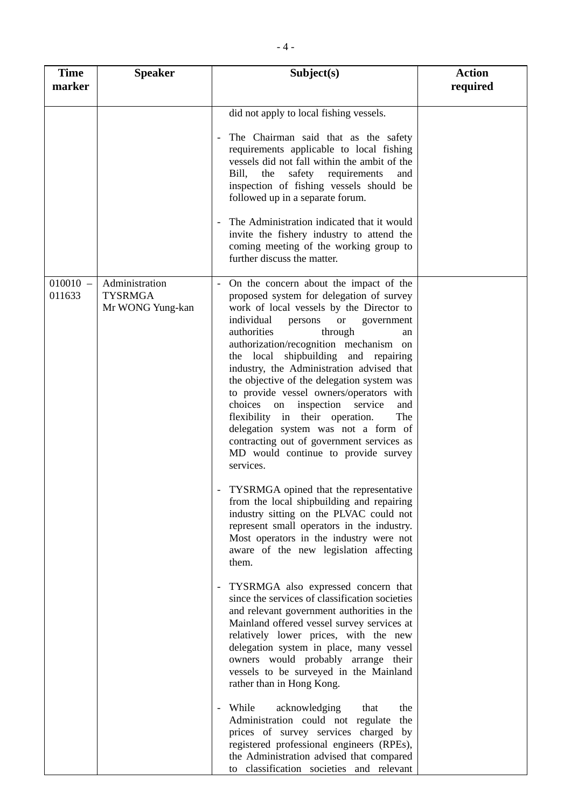| <b>Time</b><br>marker | <b>Speaker</b>                                       | Subject(s)                                                                                                                                                                                                                                                                                                                                                                                                                                                                                                                                                                                                                                                                                                                                                                                                                                                                                                                                                                                                                                                                                                                                                                                                                                                                                                                                                                                                                                                                                                                                                                                             | <b>Action</b><br>required |
|-----------------------|------------------------------------------------------|--------------------------------------------------------------------------------------------------------------------------------------------------------------------------------------------------------------------------------------------------------------------------------------------------------------------------------------------------------------------------------------------------------------------------------------------------------------------------------------------------------------------------------------------------------------------------------------------------------------------------------------------------------------------------------------------------------------------------------------------------------------------------------------------------------------------------------------------------------------------------------------------------------------------------------------------------------------------------------------------------------------------------------------------------------------------------------------------------------------------------------------------------------------------------------------------------------------------------------------------------------------------------------------------------------------------------------------------------------------------------------------------------------------------------------------------------------------------------------------------------------------------------------------------------------------------------------------------------------|---------------------------|
|                       |                                                      | did not apply to local fishing vessels.<br>The Chairman said that as the safety<br>requirements applicable to local fishing<br>vessels did not fall within the ambit of the<br>Bill.<br>safety<br>requirements<br>the<br>and<br>inspection of fishing vessels should be<br>followed up in a separate forum.<br>The Administration indicated that it would<br>invite the fishery industry to attend the<br>coming meeting of the working group to<br>further discuss the matter.                                                                                                                                                                                                                                                                                                                                                                                                                                                                                                                                                                                                                                                                                                                                                                                                                                                                                                                                                                                                                                                                                                                        |                           |
| $010010 -$<br>011633  | Administration<br><b>TYSRMGA</b><br>Mr WONG Yung-kan | - On the concern about the impact of the<br>proposed system for delegation of survey<br>work of local vessels by the Director to<br>individual<br><b>or</b><br>persons<br>government<br>authorities<br>through<br>an<br>authorization/recognition mechanism on<br>the local shipbuilding and repairing<br>industry, the Administration advised that<br>the objective of the delegation system was<br>to provide vessel owners/operators with<br>choices<br>inspection<br>service<br>on<br>and<br>flexibility in their operation.<br>The<br>delegation system was not a form of<br>contracting out of government services as<br>MD would continue to provide survey<br>services.<br>TYSRMGA opined that the representative<br>from the local shipbuilding and repairing<br>industry sitting on the PLVAC could not<br>represent small operators in the industry.<br>Most operators in the industry were not<br>aware of the new legislation affecting<br>them.<br>TYSRMGA also expressed concern that<br>$\overline{\phantom{a}}$<br>since the services of classification societies<br>and relevant government authorities in the<br>Mainland offered vessel survey services at<br>relatively lower prices, with the new<br>delegation system in place, many vessel<br>owners would probably arrange their<br>vessels to be surveyed in the Mainland<br>rather than in Hong Kong.<br>While<br>acknowledging<br>that<br>the<br>Administration could not regulate<br>the<br>prices of survey services charged by<br>registered professional engineers (RPEs),<br>the Administration advised that compared |                           |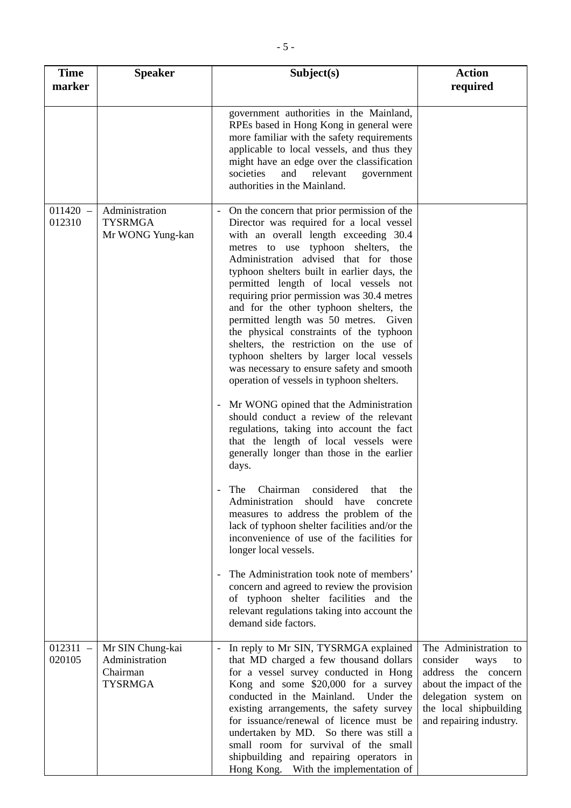| <b>Time</b><br>marker | <b>Speaker</b>                                                   | Subject(s)                                                                                                                                                                                                                                                                                                                                                                                                                                                                                                                                                                                                                                                                                                                                                                                                                                                                                                                                                                                                                                                                                                                                                                                                                                                                                                                                                       | <b>Action</b><br>required                                                                                                                                                      |
|-----------------------|------------------------------------------------------------------|------------------------------------------------------------------------------------------------------------------------------------------------------------------------------------------------------------------------------------------------------------------------------------------------------------------------------------------------------------------------------------------------------------------------------------------------------------------------------------------------------------------------------------------------------------------------------------------------------------------------------------------------------------------------------------------------------------------------------------------------------------------------------------------------------------------------------------------------------------------------------------------------------------------------------------------------------------------------------------------------------------------------------------------------------------------------------------------------------------------------------------------------------------------------------------------------------------------------------------------------------------------------------------------------------------------------------------------------------------------|--------------------------------------------------------------------------------------------------------------------------------------------------------------------------------|
|                       |                                                                  | government authorities in the Mainland,<br>RPEs based in Hong Kong in general were<br>more familiar with the safety requirements<br>applicable to local vessels, and thus they<br>might have an edge over the classification<br>societies<br>and<br>relevant<br>government<br>authorities in the Mainland.                                                                                                                                                                                                                                                                                                                                                                                                                                                                                                                                                                                                                                                                                                                                                                                                                                                                                                                                                                                                                                                       |                                                                                                                                                                                |
| $011420 -$<br>012310  | Administration<br><b>TYSRMGA</b><br>Mr WONG Yung-kan             | On the concern that prior permission of the<br>Director was required for a local vessel<br>with an overall length exceeding 30.4<br>metres to use typhoon shelters, the<br>Administration advised that for those<br>typhoon shelters built in earlier days, the<br>permitted length of local vessels not<br>requiring prior permission was 30.4 metres<br>and for the other typhoon shelters, the<br>permitted length was 50 metres. Given<br>the physical constraints of the typhoon<br>shelters, the restriction on the use of<br>typhoon shelters by larger local vessels<br>was necessary to ensure safety and smooth<br>operation of vessels in typhoon shelters.<br>Mr WONG opined that the Administration<br>should conduct a review of the relevant<br>regulations, taking into account the fact<br>that the length of local vessels were<br>generally longer than those in the earlier<br>days.<br>The Chairman considered that the<br>Administration should have concrete<br>measures to address the problem of the<br>lack of typhoon shelter facilities and/or the<br>inconvenience of use of the facilities for<br>longer local vessels.<br>The Administration took note of members'<br>concern and agreed to review the provision<br>of typhoon shelter facilities and the<br>relevant regulations taking into account the<br>demand side factors. |                                                                                                                                                                                |
| $012311 -$<br>020105  | Mr SIN Chung-kai<br>Administration<br>Chairman<br><b>TYSRMGA</b> | In reply to Mr SIN, TYSRMGA explained<br>that MD charged a few thousand dollars<br>for a vessel survey conducted in Hong<br>Kong and some \$20,000 for a survey<br>conducted in the Mainland. Under the<br>existing arrangements, the safety survey<br>for issuance/renewal of licence must be<br>undertaken by MD. So there was still a<br>small room for survival of the small<br>shipbuilding and repairing operators in<br>Hong Kong. With the implementation of                                                                                                                                                                                                                                                                                                                                                                                                                                                                                                                                                                                                                                                                                                                                                                                                                                                                                             | The Administration to<br>consider<br>ways<br>to<br>address the concern<br>about the impact of the<br>delegation system on<br>the local shipbuilding<br>and repairing industry. |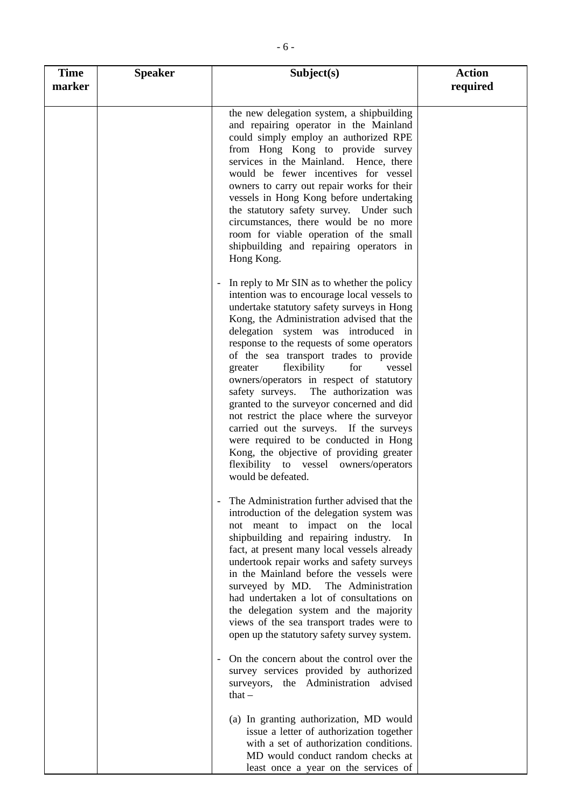| <b>Time</b><br>marker | <b>Speaker</b> | Subject(s)                                                                                                                                                                                                                                                                                                                                                                                                                                                                                                                                                                                                                                                                                                                                     | <b>Action</b><br>required |
|-----------------------|----------------|------------------------------------------------------------------------------------------------------------------------------------------------------------------------------------------------------------------------------------------------------------------------------------------------------------------------------------------------------------------------------------------------------------------------------------------------------------------------------------------------------------------------------------------------------------------------------------------------------------------------------------------------------------------------------------------------------------------------------------------------|---------------------------|
|                       |                | the new delegation system, a shipbuilding<br>and repairing operator in the Mainland<br>could simply employ an authorized RPE<br>from Hong Kong to provide survey<br>services in the Mainland. Hence, there<br>would be fewer incentives for vessel<br>owners to carry out repair works for their<br>vessels in Hong Kong before undertaking<br>the statutory safety survey. Under such<br>circumstances, there would be no more<br>room for viable operation of the small<br>shipbuilding and repairing operators in<br>Hong Kong.                                                                                                                                                                                                             |                           |
|                       |                | In reply to Mr SIN as to whether the policy<br>intention was to encourage local vessels to<br>undertake statutory safety surveys in Hong<br>Kong, the Administration advised that the<br>delegation system was introduced in<br>response to the requests of some operators<br>of the sea transport trades to provide<br>flexibility<br>for<br>greater<br>vessel<br>owners/operators in respect of statutory<br>safety surveys. The authorization was<br>granted to the surveyor concerned and did<br>not restrict the place where the surveyor<br>carried out the surveys. If the surveys<br>were required to be conducted in Hong<br>Kong, the objective of providing greater<br>flexibility to vessel owners/operators<br>would be defeated. |                           |
|                       |                | The Administration further advised that the<br>introduction of the delegation system was<br>not meant to impact on the local<br>shipbuilding and repairing industry.<br>In<br>fact, at present many local vessels already<br>undertook repair works and safety surveys<br>in the Mainland before the vessels were<br>surveyed by MD. The Administration<br>had undertaken a lot of consultations on<br>the delegation system and the majority<br>views of the sea transport trades were to<br>open up the statutory safety survey system.                                                                                                                                                                                                      |                           |
|                       |                | On the concern about the control over the<br>survey services provided by authorized<br>surveyors, the Administration advised<br>that $-$                                                                                                                                                                                                                                                                                                                                                                                                                                                                                                                                                                                                       |                           |
|                       |                | (a) In granting authorization, MD would<br>issue a letter of authorization together<br>with a set of authorization conditions.<br>MD would conduct random checks at<br>least once a year on the services of                                                                                                                                                                                                                                                                                                                                                                                                                                                                                                                                    |                           |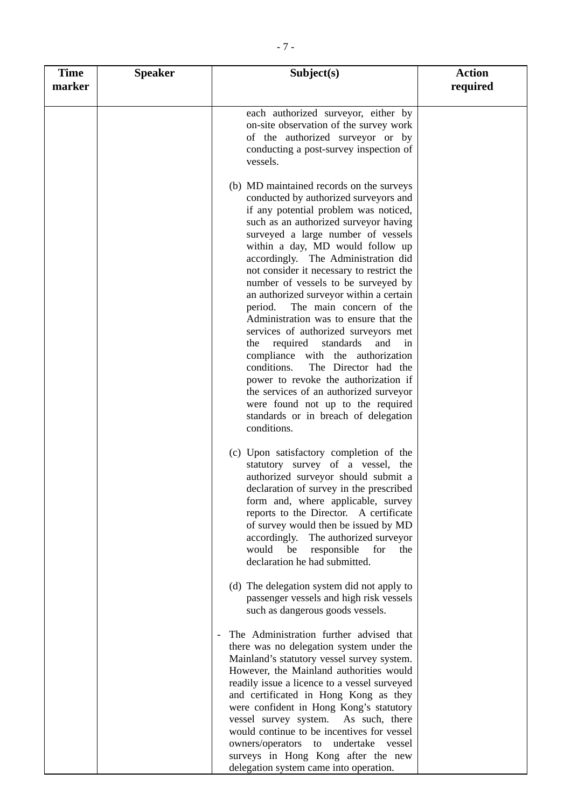| <b>Time</b><br>marker | <b>Speaker</b> | Subject(s)                                                                                                                                                                                                                                                                                                                                                                                                                                                                                                                                                                                                                                                                                                                                                                                                                                        | <b>Action</b><br>required |
|-----------------------|----------------|---------------------------------------------------------------------------------------------------------------------------------------------------------------------------------------------------------------------------------------------------------------------------------------------------------------------------------------------------------------------------------------------------------------------------------------------------------------------------------------------------------------------------------------------------------------------------------------------------------------------------------------------------------------------------------------------------------------------------------------------------------------------------------------------------------------------------------------------------|---------------------------|
|                       |                | each authorized surveyor, either by                                                                                                                                                                                                                                                                                                                                                                                                                                                                                                                                                                                                                                                                                                                                                                                                               |                           |
|                       |                | on-site observation of the survey work<br>of the authorized surveyor or by<br>conducting a post-survey inspection of<br>vessels.                                                                                                                                                                                                                                                                                                                                                                                                                                                                                                                                                                                                                                                                                                                  |                           |
|                       |                | (b) MD maintained records on the surveys<br>conducted by authorized surveyors and<br>if any potential problem was noticed,<br>such as an authorized surveyor having<br>surveyed a large number of vessels<br>within a day, MD would follow up<br>accordingly. The Administration did<br>not consider it necessary to restrict the<br>number of vessels to be surveyed by<br>an authorized surveyor within a certain<br>The main concern of the<br>period.<br>Administration was to ensure that the<br>services of authorized surveyors met<br>required<br>standards<br>the<br>and<br>in<br>compliance with the authorization<br>conditions.<br>The Director had the<br>power to revoke the authorization if<br>the services of an authorized surveyor<br>were found not up to the required<br>standards or in breach of delegation<br>conditions. |                           |
|                       |                | (c) Upon satisfactory completion of the<br>statutory survey of a vessel, the<br>authorized surveyor should submit a<br>declaration of survey in the prescribed<br>form and, where applicable, survey<br>reports to the Director. A certificate<br>of survey would then be issued by MD<br>accordingly.<br>The authorized surveyor<br>would<br>responsible<br>be<br>for<br>the<br>declaration he had submitted.                                                                                                                                                                                                                                                                                                                                                                                                                                    |                           |
|                       |                | (d) The delegation system did not apply to<br>passenger vessels and high risk vessels<br>such as dangerous goods vessels.                                                                                                                                                                                                                                                                                                                                                                                                                                                                                                                                                                                                                                                                                                                         |                           |
|                       |                | The Administration further advised that<br>there was no delegation system under the<br>Mainland's statutory vessel survey system.<br>However, the Mainland authorities would<br>readily issue a licence to a vessel surveyed<br>and certificated in Hong Kong as they<br>were confident in Hong Kong's statutory<br>vessel survey system.<br>As such, there<br>would continue to be incentives for vessel<br>owners/operators<br>to undertake vessel<br>surveys in Hong Kong after the new<br>delegation system came into operation.                                                                                                                                                                                                                                                                                                              |                           |